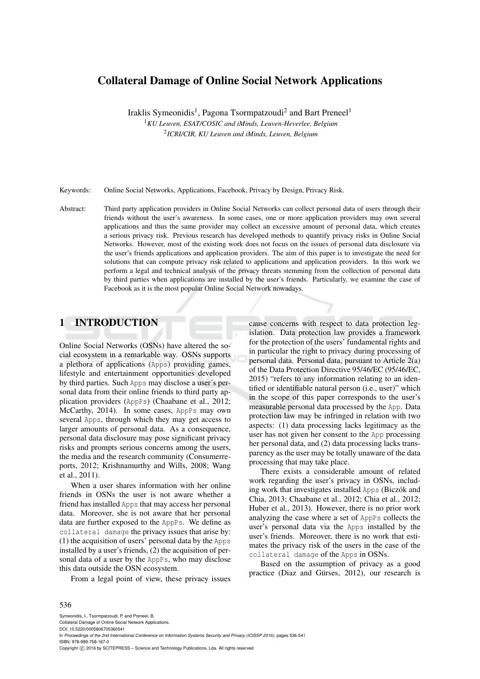# Collateral Damage of Online Social Network Applications

Iraklis Symeonidis<sup>1</sup>, Pagona Tsormpatzoudi<sup>2</sup> and Bart Preneel<sup>1</sup> <sup>1</sup>*KU Leuven, ESAT/COSIC and iMinds, Leuven-Heverlee, Belgium* 2 *ICRI/CIR, KU Leuven and iMinds, Leuven, Belgium*

Keywords: Online Social Networks, Applications, Facebook, Privacy by Design, Privacy Risk.

Abstract: Third party application providers in Online Social Networks can collect personal data of users through their friends without the user's awareness. In some cases, one or more application providers may own several applications and thus the same provider may collect an excessive amount of personal data, which creates a serious privacy risk. Previous research has developed methods to quantify privacy risks in Online Social Networks. However, most of the existing work does not focus on the issues of personal data disclosure via the user's friends applications and application providers. The aim of this paper is to investigate the need for solutions that can compute privacy risk related to applications and application providers. In this work we perform a legal and technical analysis of the privacy threats stemming from the collection of personal data by third parties when applications are installed by the user's friends. Particularly, we examine the case of Facebook as it is the most popular Online Social Network nowadays.

# 1 INTRODUCTION

Online Social Networks (OSNs) have altered the social ecosystem in a remarkable way. OSNs supports a plethora of applications (Apps) providing games, lifestyle and entertainment opportunities developed by third parties. Such Apps may disclose a user's personal data from their online friends to third party application providers (AppPs) (Chaabane et al., 2012; McCarthy, 2014). In some cases, AppPs may own several Apps, through which they may get access to larger amounts of personal data. As a consequence, personal data disclosure may pose significant privacy risks and prompts serious concerns among the users, the media and the research community (Consumerreports, 2012; Krishnamurthy and Wills, 2008; Wang et al., 2011).

When a user shares information with her online friends in OSNs the user is not aware whether a friend has installed Apps that may access her personal data. Moreover, she is not aware that her personal data are further exposed to the AppPs. We define as collateral damage the privacy issues that arise by: (1) the acquisition of users' personal data by the Apps installed by a user's friends, (2) the acquisition of personal data of a user by the AppPs, who may disclose this data outside the OSN ecosystem.

From a legal point of view, these privacy issues

cause concerns with respect to data protection legislation. Data protection law provides a framework for the protection of the users' fundamental rights and in particular the right to privacy during processing of personal data. Personal data, pursuant to Article 2(a) of the Data Protection Directive 95/46/EC (95/46/EC, 2015) "refers to any information relating to an identified or identifiable natural person (i.e., user)" which in the scope of this paper corresponds to the user's measurable personal data processed by the App. Data protection law may be infringed in relation with two aspects: (1) data processing lacks legitimacy as the user has not given her consent to the App processing her personal data, and (2) data processing lacks transparency as the user may be totally unaware of the data processing that may take place.

There exists a considerable amount of related work regarding the user's privacy in OSNs, including work that investigates installed Apps (Biczók and Chia, 2013; Chaabane et al., 2012; Chia et al., 2012; Huber et al., 2013). However, there is no prior work analyzing the case where a set of AppPs collects the user's personal data via the Apps installed by the user's friends. Moreover, there is no work that estimates the privacy risk of the users in the case of the collateral damage of the Apps in OSNs.

Based on the assumption of privacy as a good practice (Diaz and Gürses, 2012), our research is

#### 536

Symeonidis, I., Tsormpatzoudi, P. and Preneel, B. Collateral Damage of Online Social Network Applications. DOI: 10.5220/0005806705360541 In *Proceedings of the 2nd International Conference on Information Systems Security and Privacy (ICISSP 2016)*, pages 536-541 ISBN: 978-989-758-167-0 Copyright © 2016 by SCITEPRESS - Science and Technology Publications, Lda. All rights reserved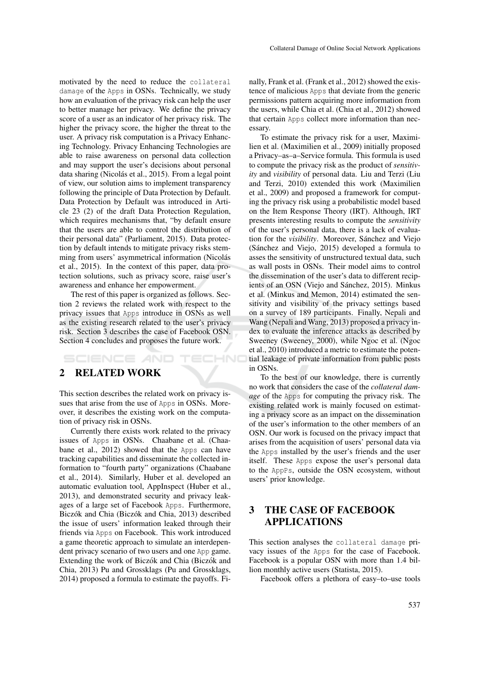motivated by the need to reduce the collateral damage of the Apps in OSNs. Technically, we study how an evaluation of the privacy risk can help the user to better manage her privacy. We define the privacy score of a user as an indicator of her privacy risk. The higher the privacy score, the higher the threat to the user. A privacy risk computation is a Privacy Enhancing Technology. Privacy Enhancing Technologies are able to raise awareness on personal data collection and may support the user's decisions about personal data sharing (Nicolás et al., 2015). From a legal point of view, our solution aims to implement transparency following the principle of Data Protection by Default. Data Protection by Default was introduced in Article 23 (2) of the draft Data Protection Regulation, which requires mechanisms that, "by default ensure that the users are able to control the distribution of their personal data" (Parliament, 2015). Data protection by default intends to mitigate privacy risks stemming from users' asymmetrical information (Nicolás et al., 2015). In the context of this paper, data protection solutions, such as privacy score, raise user's awareness and enhance her empowerment.

The rest of this paper is organized as follows. Section 2 reviews the related work with respect to the privacy issues that Apps introduce in OSNs as well as the existing research related to the user's privacy risk. Section 3 describes the case of Facebook OSN. Section 4 concludes and proposes the future work.

ECHNO

## SCIENCE *A*ND 2 RELATED WORK

This section describes the related work on privacy issues that arise from the use of Apps in OSNs. Moreover, it describes the existing work on the computation of privacy risk in OSNs.

Currently there exists work related to the privacy issues of Apps in OSNs. Chaabane et al. (Chaabane et al., 2012) showed that the Apps can have tracking capabilities and disseminate the collected information to "fourth party" organizations (Chaabane et al., 2014). Similarly, Huber et al. developed an automatic evaluation tool, AppInspect (Huber et al., 2013), and demonstrated security and privacy leakages of a large set of Facebook Apps. Furthermore, Biczók and Chia (Biczók and Chia, 2013) described the issue of users' information leaked through their friends via Apps on Facebook. This work introduced a game theoretic approach to simulate an interdependent privacy scenario of two users and one App game. Extending the work of Biczók and Chia (Biczók and Chia, 2013) Pu and Grossklags (Pu and Grossklags, 2014) proposed a formula to estimate the payoffs. Finally, Frank et al. (Frank et al., 2012) showed the existence of malicious Apps that deviate from the generic permissions pattern acquiring more information from the users, while Chia et al. (Chia et al., 2012) showed that certain Apps collect more information than necessary.

To estimate the privacy risk for a user, Maximilien et al. (Maximilien et al., 2009) initially proposed a Privacy–as–a–Service formula. This formula is used to compute the privacy risk as the product of *sensitivity* and *visibility* of personal data. Liu and Terzi (Liu and Terzi, 2010) extended this work (Maximilien et al., 2009) and proposed a framework for computing the privacy risk using a probabilistic model based on the Item Response Theory (IRT). Although, IRT presents interesting results to compute the *sensitivity* of the user's personal data, there is a lack of evaluation for the *visibility*. Moreover, Sánchez and Viejo (Sanchez and Viejo, 2015) developed a formula to ´ asses the sensitivity of unstructured textual data, such as wall posts in OSNs. Their model aims to control the dissemination of the user's data to different recipients of an OSN (Viejo and Sánchez, 2015). Minkus et al. (Minkus and Memon, 2014) estimated the sensitivity and visibility of the privacy settings based on a survey of 189 participants. Finally, Nepali and Wang (Nepali and Wang, 2013) proposed a privacy index to evaluate the inference attacks as described by Sweeney (Sweeney, 2000), while Ngoc et al. (Ngoc et al., 2010) introduced a metric to estimate the potential leakage of private information from public posts in OSNs.

To the best of our knowledge, there is currently no work that considers the case of the *collateral damage* of the Apps for computing the privacy risk. The existing related work is mainly focused on estimating a privacy score as an impact on the dissemination of the user's information to the other members of an OSN. Our work is focused on the privacy impact that arises from the acquisition of users' personal data via the Apps installed by the user's friends and the user itself. These Apps expose the user's personal data to the AppPs, outside the OSN ecosystem, without users' prior knowledge.

# 3 THE CASE OF FACEBOOK APPLICATIONS

This section analyses the collateral damage privacy issues of the Apps for the case of Facebook. Facebook is a popular OSN with more than 1.4 billion monthly active users (Statista, 2015).

Facebook offers a plethora of easy–to–use tools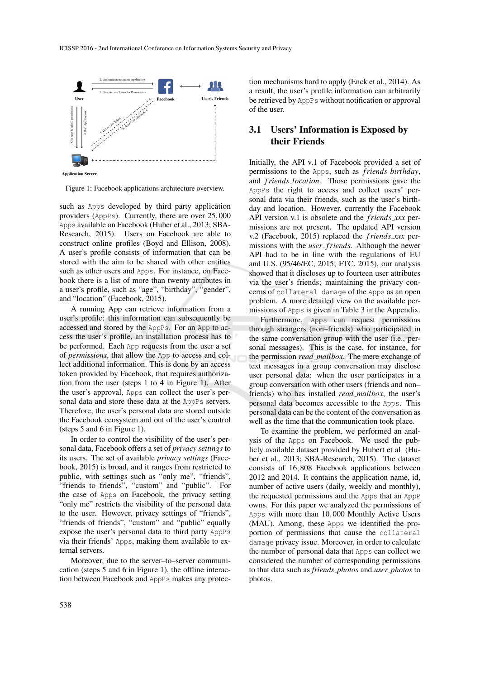

**Application Server** 

Figure 1: Facebook applications architecture overview.

such as Apps developed by third party application providers (AppPs). Currently, there are over 25,000 Apps available on Facebook (Huber et al., 2013; SBA-Research, 2015). Users on Facebook are able to construct online profiles (Boyd and Ellison, 2008). A user's profile consists of information that can be stored with the aim to be shared with other entities such as other users and Apps. For instance, on Facebook there is a list of more than twenty attributes in a user's profile, such as "age", "birthday", "gender", and "location" (Facebook, 2015).

A running App can retrieve information from a user's profile; this information can subsequently be accessed and stored by the AppPs. For an App to access the user's profile, an installation process has to be performed. Each App requests from the user a set of *permissions*, that allow the App to access and collect additional information. This is done by an access token provided by Facebook, that requires authorization from the user (steps 1 to 4 in Figure 1). After the user's approval, Apps can collect the user's personal data and store these data at the AppPs servers. Therefore, the user's personal data are stored outside the Facebook ecosystem and out of the user's control (steps 5 and 6 in Figure 1).

In order to control the visibility of the user's personal data, Facebook offers a set of *privacy settings* to its users. The set of available *privacy settings* (Facebook, 2015) is broad, and it ranges from restricted to public, with settings such as "only me", "friends", "friends to friends", "custom" and "public". For the case of Apps on Facebook, the privacy setting "only me" restricts the visibility of the personal data to the user. However, privacy settings of "friends", "friends of friends", "custom" and "public" equally expose the user's personal data to third party AppPs via their friends' Apps, making them available to external servers.

Moreover, due to the server–to–server communication (steps 5 and 6 in Figure 1), the offline interaction between Facebook and AppPs makes any protec-

tion mechanisms hard to apply (Enck et al., 2014). As a result, the user's profile information can arbitrarily be retrieved by AppPs without notification or approval of the user.

### 3.1 Users' Information is Exposed by their Friends

Initially, the API v.1 of Facebook provided a set of permissions to the Apps, such as *f riends birthday*, and *f riends location*. Those permissions gave the AppPs the right to access and collect users' personal data via their friends, such as the user's birthday and location. However, currently the Facebook API version v.1 is obsolete and the *f riends xxx* permissions are not present. The updated API version v.2 (Facebook, 2015) replaced the *f riends xxx* permissions with the *user f riends*. Although the newer API had to be in line with the regulations of EU and U.S. (95/46/EC, 2015; FTC, 2015), our analysis showed that it discloses up to fourteen user attributes via the user's friends; maintaining the privacy concerns of collateral damage of the Apps as an open problem. A more detailed view on the available permissions of Apps is given in Table 3 in the Appendix.

Furthermore, Apps can request permissions through strangers (non–friends) who participated in the same conversation group with the user (i.e., personal messages). This is the case, for instance, for the permission *read mailbox*. The mere exchange of text messages in a group conversation may disclose user personal data: when the user participates in a group conversation with other users (friends and non– friends) who has installed *read mailbox*, the user's personal data becomes accessible to the Apps. This personal data can be the content of the conversation as well as the time that the communication took place.

To examine the problem, we performed an analysis of the Apps on Facebook. We used the publicly available dataset provided by Hubert et al (Huber et al., 2013; SBA-Research, 2015). The dataset consists of 16,808 Facebook applications between 2012 and 2014. It contains the application name, id, number of active users (daily, weekly and monthly), the requested permissions and the Apps that an AppP owns. For this paper we analyzed the permissions of Apps with more than 10,000 Monthly Active Users (MAU). Among, these Apps we identified the proportion of permissions that cause the collateral damage privacy issue. Moreover, in order to calculate the number of personal data that Apps can collect we considered the number of corresponding permissions to that data such as *friends photos* and *user photos* to photos.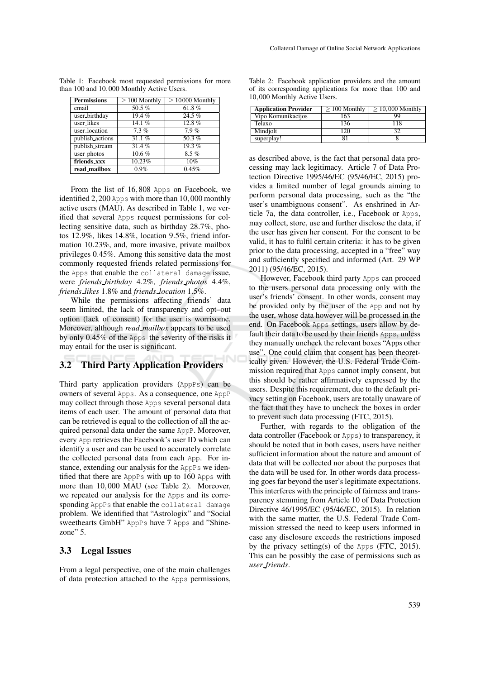| <b>Permissions</b> | $> 100$ Monthly | $> 10000$ Monthly |
|--------------------|-----------------|-------------------|
| email              | 50.5 $%$        | 61.8%             |
| user_birthday      | 19.4%           | 24.5%             |
| user_likes         | 14.1 $%$        | 12.8%             |
| user_location      | 7.3%            | 7.9%              |
| publish_actions    | 31.1%           | 50.3 $%$          |
| publish_stream     | 31.4%           | 19.3%             |
| user_photos        | 10.6%           | 8.5%              |
| friends_xxx        | 10.23%          | 10%               |
| read_mailbox       | 0.9%            | 0.45%             |

Table 1: Facebook most requested permissions for more than 100 and 10,000 Monthly Active Users.

From the list of 16,808 Apps on Facebook, we identified 2,200 Apps with more than 10,000 monthly active users (MAU). As described in Table 1, we verified that several Apps request permissions for collecting sensitive data, such as birthday 28.7%, photos 12.9%, likes 14.8%, location 9.5%, friend information 10.23%, and, more invasive, private mailbox privileges 0.45%. Among this sensitive data the most commonly requested friends related permissions for the Apps that enable the collateral damage issue, were *friends birthday* 4.2%, *friends photos* 4.4%, *friends likes* 1.8% and *friends location* 1.5%.

While the permissions affecting friends' data seem limited, the lack of transparency and opt–out option (lack of consent) for the user is worrisome. Moreover, although *read mailbox* appears to be used by only 0.45% of the Apps the severity of the risks it may entail for the user is significant.

## 3.2 Third Party Application Providers

Third party application providers (AppPs) can be owners of several Apps. As a consequence, one AppP may collect through those Apps several personal data items of each user. The amount of personal data that can be retrieved is equal to the collection of all the acquired personal data under the same AppP. Moreover, every App retrieves the Facebook's user ID which can identify a user and can be used to accurately correlate the collected personal data from each App. For instance, extending our analysis for the AppPs we identified that there are AppPs with up to 160 Apps with more than 10,000 MAU (see Table 2). Moreover, we repeated our analysis for the Apps and its corresponding AppPs that enable the collateral damage problem. We identified that "Astrologix" and "Social sweethearts GmbH" AppPs have 7 Apps and "Shinezone" 5.

#### 3.3 Legal Issues

From a legal perspective, one of the main challenges of data protection attached to the Apps permissions,

|  | Table 2: Facebook application providers and the amount  |  |  |  |
|--|---------------------------------------------------------|--|--|--|
|  | of its corresponding applications for more than 100 and |  |  |  |
|  | 10,000 Monthly Active Users.                            |  |  |  |

| <b>Application Provider</b> | $> 100$ Monthly | $>$ 10,000 Monthly |
|-----------------------------|-----------------|--------------------|
| Vipo Komunikacijos          | 163             | QQ                 |
| Telaxo                      | 136             | 118                |
| Mindjolt                    | 20              |                    |
| superplay!                  |                 |                    |

as described above, is the fact that personal data processing may lack legitimacy. Article 7 of Data Protection Directive 1995/46/EC (95/46/EC, 2015) provides a limited number of legal grounds aiming to perform personal data processing, such as the "the user's unambiguous consent". As enshrined in Article 7a, the data controller, i.e., Facebook or Apps, may collect, store, use and further disclose the data, if the user has given her consent. For the consent to be valid, it has to fulfil certain criteria: it has to be given prior to the data processing, accepted in a "free" way and sufficiently specified and informed (Art. 29 WP 2011) (95/46/EC, 2015).

However, Facebook third party Apps can proceed to the users personal data processing only with the user's friends' consent. In other words, consent may be provided only by the user of the App and not by the user, whose data however will be processed in the end. On Facebook Apps settings, users allow by default their data to be used by their friends Apps, unless they manually uncheck the relevant boxes "Apps other use". One could claim that consent has been theoretically given. However, the U.S. Federal Trade Commission required that Apps cannot imply consent, but this should be rather affirmatively expressed by the users. Despite this requirement, due to the default privacy setting on Facebook, users are totally unaware of the fact that they have to uncheck the boxes in order to prevent such data processing (FTC, 2015).

Further, with regards to the obligation of the data controller (Facebook or Apps) to transparency, it should be noted that in both cases, users have neither sufficient information about the nature and amount of data that will be collected nor about the purposes that the data will be used for. In other words data processing goes far beyond the user's legitimate expectations. This interferes with the principle of fairness and transparency stemming from Article 10 of Data Protection Directive 46/1995/EC (95/46/EC, 2015). In relation with the same matter, the U.S. Federal Trade Commission stressed the need to keep users informed in case any disclosure exceeds the restrictions imposed by the privacy setting(s) of the Apps (FTC, 2015). This can be possibly the case of permissions such as *user friends*.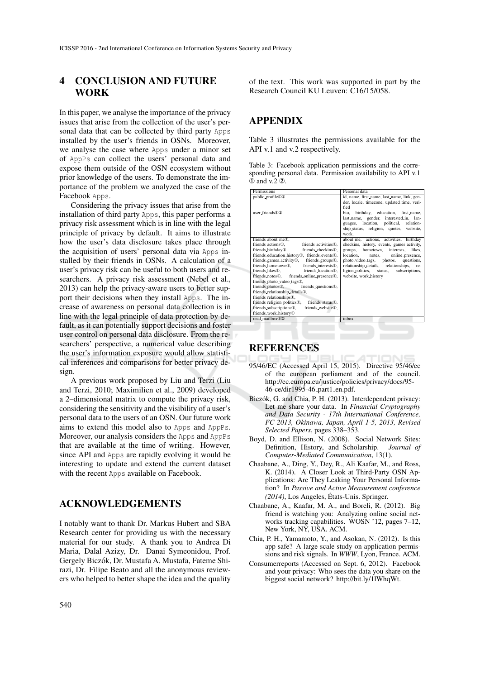## 4 CONCLUSION AND FUTURE **WORK**

In this paper, we analyse the importance of the privacy issues that arise from the collection of the user's personal data that can be collected by third party Apps installed by the user's friends in OSNs. Moreover, we analyse the case where Apps under a minor set of AppPs can collect the users' personal data and expose them outside of the OSN ecosystem without prior knowledge of the users. To demonstrate the importance of the problem we analyzed the case of the Facebook Apps.

Considering the privacy issues that arise from the installation of third party Apps, this paper performs a privacy risk assessment which is in line with the legal principle of privacy by default. It aims to illustrate how the user's data disclosure takes place through the acquisition of users' personal data via Apps installed by their friends in OSNs. A calculation of a user's privacy risk can be useful to both users and researchers. A privacy risk assessment (Nebel et al., 2013) can help the privacy-aware users to better support their decisions when they install Apps. The increase of awareness on personal data collection is in line with the legal principle of data protection by default, as it can potentially support decisions and foster user control on personal data disclosure. From the researchers' perspective, a numerical value describing the user's information exposure would allow statistical inferences and comparisons for better privacy design.

A previous work proposed by Liu and Terzi (Liu and Terzi, 2010; Maximilien et al., 2009) developed a 2–dimensional matrix to compute the privacy risk, considering the sensitivity and the visibility of a user's personal data to the users of an OSN. Our future work aims to extend this model also to Apps and AppPs. Moreover, our analysis considers the Apps and AppPs that are available at the time of writing. However, since API and Apps are rapidly evolving it would be interesting to update and extend the current dataset with the recent Apps available on Facebook.

#### ACKNOWLEDGEMENTS

I notably want to thank Dr. Markus Hubert and SBA Research center for providing us with the necessary material for our study. A thank you to Andrea Di Maria, Dalal Azizy, Dr. Danai Symeonidou, Prof. Gergely Biczok, Dr. Mustafa A. Mustafa, Fateme Shi- ´ razi, Dr. Filipe Beato and all the anonymous reviewers who helped to better shape the idea and the quality

of the text. This work was supported in part by the Research Council KU Leuven: C16/15/058.

## APPENDIX

Table 3 illustrates the permissions available for the API v.1 and v.2 respectively.

Table 3: Facebook application permissions and the corresponding personal data. Permission availability to API v.1 ① and v.2 ②.

| Permissions                                                            | Personal data                               |
|------------------------------------------------------------------------|---------------------------------------------|
| public_profile <sup>12</sup>                                           | id, name, first_name, last_name, link, gen- |
|                                                                        | der, locale, timezone, updated_time, veri-  |
|                                                                        | fied                                        |
| user friends 12                                                        | bio.<br>birthday, education, first_name,    |
|                                                                        | last_name, gender, interested_in, lan-      |
|                                                                        | guages, location, political, relation-      |
|                                                                        | ship_status, religion, quotes, website,     |
|                                                                        | work.                                       |
| friends_about_me①,                                                     | about_me, actions, activities, birthday     |
| friends_actions①,<br>friends_activities①,                              | checkins, history, events, games_activity,  |
| friends_birthday①<br>friends_checkins①.                                | hometown, interests, likes,<br>groups,      |
| friends_education_history①, friends_events①,                           | location.<br>notes, online_presence,        |
| friends_games_activity①, friends_groups①,                              | photo_video_tags, photos, questions,        |
| friends_hometown①, friends_interests①,                                 | relationship_details, relationships, re-    |
| friends_likes①.<br>friends_location①,                                  | ligion_politics, status,<br>subscriptions,  |
| friends_notes①, friends_online_presence①,                              | website, work_history                       |
| friends_photo_video_tags①,                                             |                                             |
| friends_photos①, friends_questions①,                                   |                                             |
| friends_relationship_details①,                                         |                                             |
| friends_relationships①,                                                |                                             |
| friends_religion_politics①,<br>friends_status①,                        |                                             |
| friends_subscriptions①,<br>friends_website <sup>1</sup> <sub>0</sub> , |                                             |
| friends_work_history①                                                  |                                             |
| read mailbox $(1)$ (2)                                                 | inbox                                       |

#### **REFERENCES**

- 95/46/EC (Accessed April 15, 2015). Directive 95/46/ec of the european parliament and of the council. http://ec.europa.eu/justice/policies/privacy/docs/95- 46-ce/dir1995-46 part1 en.pdf.
- Biczók, G. and Chia, P. H. (2013). Interdependent privacy: Let me share your data. In *Financial Cryptography and Data Security - 17th International Conference, FC 2013, Okinawa, Japan, April 1-5, 2013, Revised Selected Papers*, pages 338–353.
- Boyd, D. and Ellison, N. (2008). Social Network Sites: Definition, History, and Scholarship. *Journal of Computer-Mediated Communication*, 13(1).
- Chaabane, A., Ding, Y., Dey, R., Ali Kaafar, M., and Ross, K. (2014). A Closer Look at Third-Party OSN Applications: Are They Leaking Your Personal Information? In *Passive and Active Measurement conference (2014)*, Los Angeles, Etats-Unis. Springer. ´
- Chaabane, A., Kaafar, M. A., and Boreli, R. (2012). Big friend is watching you: Analyzing online social networks tracking capabilities. WOSN '12, pages 7–12, New York, NY, USA. ACM.
- Chia, P. H., Yamamoto, Y., and Asokan, N. (2012). Is this app safe? A large scale study on application permissions and risk signals. In *WWW*, Lyon, France. ACM.
- Consumerreports (Accessed on Sept. 6, 2012). Facebook and your privacy: Who sees the data you share on the biggest social network? http://bit.ly/1lWhqWt.